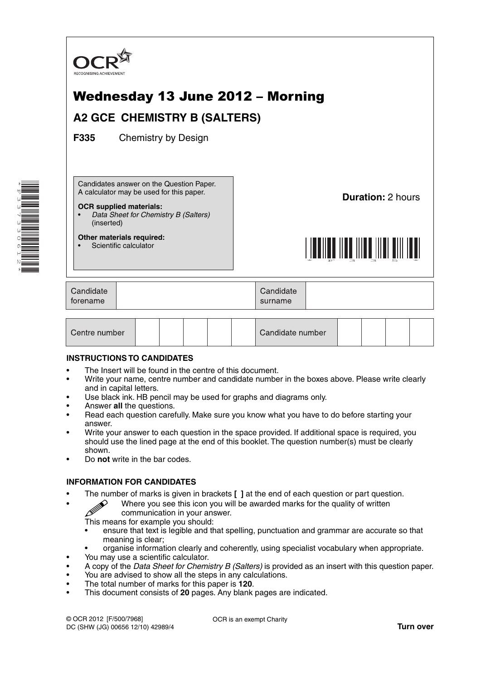

| Centre number |  |  |  |  |  | Candidate number |  |  |  |  |  |
|---------------|--|--|--|--|--|------------------|--|--|--|--|--|
|---------------|--|--|--|--|--|------------------|--|--|--|--|--|

## **INSTRUCTIONS TO CANDIDATES**

\*F337330612\*

- The Insert will be found in the centre of this document.
- Write your name, centre number and candidate number in the boxes above. Please write clearly and in capital letters.
- Use black ink. HB pencil may be used for graphs and diagrams only.
- Answer **all** the questions.
- Read each question carefully. Make sure you know what you have to do before starting your answer.
- Write your answer to each question in the space provided. If additional space is required, you should use the lined page at the end of this booklet. The question number(s) must be clearly shown.
- Do **not** write in the bar codes.

## **INFORMATION FOR CANDIDATES**

- 
- The number of marks is given in brackets **[ ]** at the end of each question or part question.<br>Where you see this icon you will be awarded marks for the quality of written communication in your ancuration • Where you see this icon you will be awarded marks for the quality of written communication in your answer.
	- This means for example you should:
	- ensure that text is legible and that spelling, punctuation and grammar are accurate so that meaning is clear;
	- organise information clearly and coherently, using specialist vocabulary when appropriate.
- You may use a scientific calculator.
- A copy of the *Data Sheet for Chemistry B (Salters)* is provided as an insert with this question paper.
- You are advised to show all the steps in any calculations.
- The total number of marks for this paper is **120**.
- This document consists of **20** pages. Any blank pages are indicated.

OCR is an exempt Charity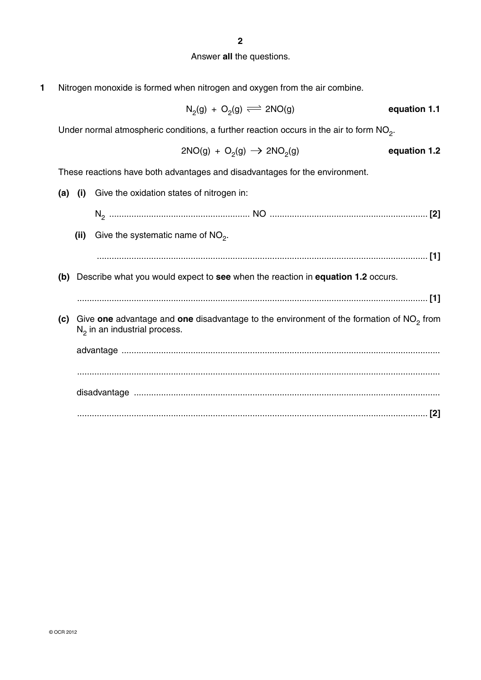# Answer **all** the questions.

**1** Nitrogen monoxide is formed when nitrogen and oxygen from the air combine.

$$
N_2(g) + O_2(g) \implies 2NO(g) \qquad \qquad \text{equation 1.1}
$$

Under normal atmospheric conditions, a further reaction occurs in the air to form  $NO<sub>2</sub>$ .

$$
2NO(g) + O_2(g) \rightarrow 2NO_2(g)
$$
 **equation 1.2**

These reactions have both advantages and disadvantages for the environment.

| (i) Give the oxidation states of nitrogen in:                                                                               | (a) |  |
|-----------------------------------------------------------------------------------------------------------------------------|-----|--|
|                                                                                                                             |     |  |
| Give the systematic name of $NO2$ .<br>(ii)                                                                                 |     |  |
|                                                                                                                             |     |  |
| (b) Describe what you would expect to see when the reaction in equation 1.2 occurs.                                         |     |  |
|                                                                                                                             |     |  |
| Give one advantage and one disadvantage to the environment of the formation of $NO2$ from<br>$N2$ in an industrial process. | (c) |  |
|                                                                                                                             |     |  |
|                                                                                                                             |     |  |
|                                                                                                                             |     |  |
|                                                                                                                             |     |  |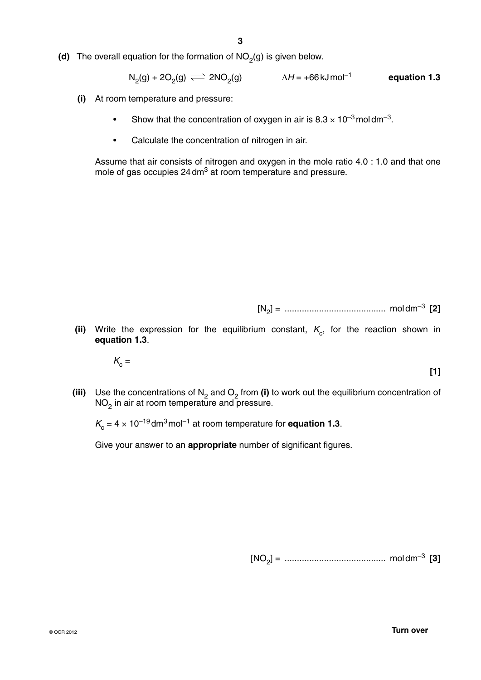**(d)** The overall equation for the formation of  $NO<sub>2</sub>(g)$  is given below.

$$
N_2(g) + 2O_2(g) \iff 2NO_2(g) \qquad \Delta H = +66 \,\text{kJ} \,\text{mol}^{-1} \qquad \text{equation 1.3}
$$

- **(i)** At room temperature and pressure:
	- Show that the concentration of oxygen in air is  $8.3 \times 10^{-3}$  moldm<sup>-3</sup>.
	- Calculate the concentration of nitrogen in air.

Assume that air consists of nitrogen and oxygen in the mole ratio 4.0 : 1.0 and that one mole of gas occupies 24 dm<sup>3</sup> at room temperature and pressure.

[N2] = ......................................... mol dm–3 **[2]**

(ii) Write the expression for the equilibrium constant,  $K_c$ , for the reaction shown in **equation 1.3**.

 $K_c =$ 

**[1]**

**(iii)** Use the concentrations of  $N_2$  and  $O_2$  from **(i)** to work out the equilibrium concentration of  $\mathsf{NO}_2$  in air at room temperature and pressure.

 $K_c = 4 \times 10^{-19}$  dm<sup>3</sup> mol<sup>-1</sup> at room temperature for **equation 1.3**.

Give your answer to an **appropriate** number of significant figures.

[NO2] = ......................................... mol dm–3 **[3]**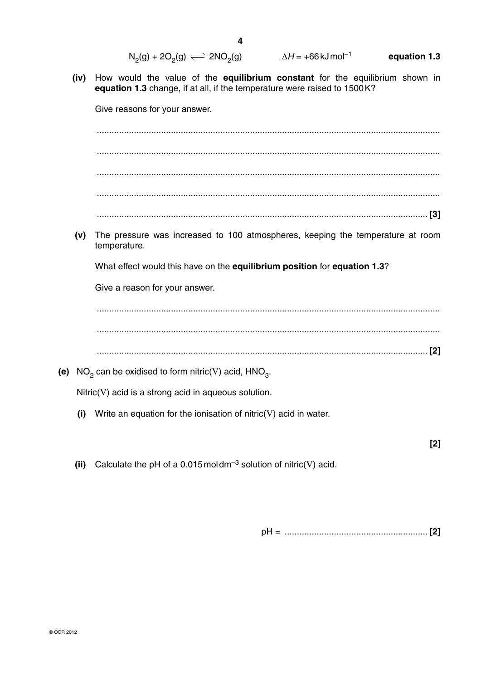| $N_2(g) + 2O_2(g) \rightleftharpoons 2NO_2(g)$ | $\Delta H = +66$ kJ mol <sup>-1</sup> | equation 1.3 |
|------------------------------------------------|---------------------------------------|--------------|
|------------------------------------------------|---------------------------------------|--------------|

 **(iv)** How would the value of the **equilibrium constant** for the equilibrium shown in **equation 1.3** change, if at all, if the temperature were raised to 1500 K?

Give reasons for your answer.

 ........................................................................................................................................... ........................................................................................................................................... ........................................................................................................................................... ........................................................................................................................................... ...................................................................................................................................... **[3]**

 **(v)** The pressure was increased to 100 atmospheres, keeping the temperature at room temperature.

What effect would this have on the **equilibrium position** for **equation 1.3**?

Give a reason for your answer.

 ........................................................................................................................................... ........................................................................................................................................... ...................................................................................................................................... **[2]**

**(e)** NO<sub>2</sub> can be oxidised to form nitric(V) acid,  $HNO<sub>3</sub>$ .

Nitric(V) acid is a strong acid in aqueous solution.

 **(i)** Write an equation for the ionisation of nitric(V) acid in water.

**[2]**

**(ii)** Calculate the pH of a 0.015 moldm<sup>-3</sup> solution of nitric(V) acid.

pH = .......................................................... **[2]**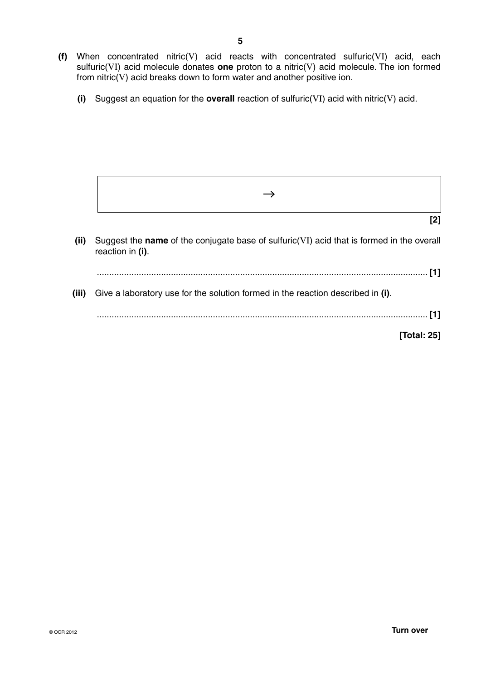- **(f)** When concentrated nitric(V) acid reacts with concentrated sulfuric(VI) acid, each sulfuric(VI) acid molecule donates **one** proton to a nitric(V) acid molecule. The ion formed from  $n\text{itric}(V)$  acid breaks down to form water and another positive ion.
	- **(i)** Suggest an equation for the **overall** reaction of sulfuric(VI) acid with nitric(V) acid.

|       | [2]                                                                                                           |
|-------|---------------------------------------------------------------------------------------------------------------|
| (ii)  | Suggest the name of the conjugate base of sulfuric(VI) acid that is formed in the overall<br>reaction in (i). |
|       | [1]                                                                                                           |
| (iii) | Give a laboratory use for the solution formed in the reaction described in (i).                               |
|       |                                                                                                               |
|       | [Total: 25]                                                                                                   |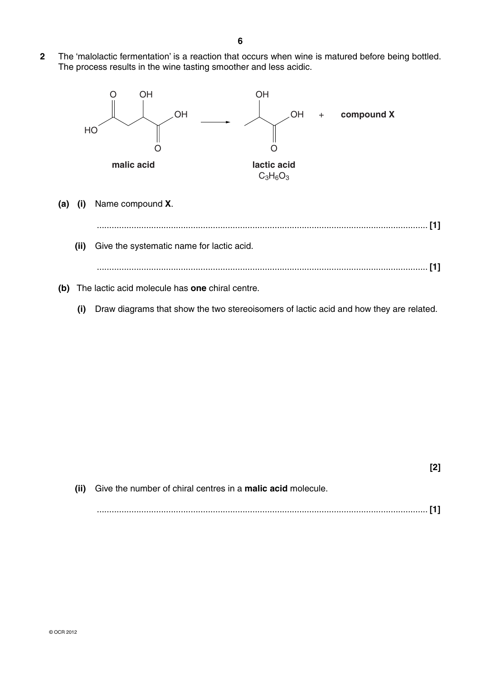**2** The 'malolactic fermentation' is a reaction that occurs when wine is matured before being bottled. The process results in the wine tasting smoother and less acidic.



**[2] (ii)** Give the number of chiral centres in a **malic acid** molecule. ...................................................................................................................................... **[1]**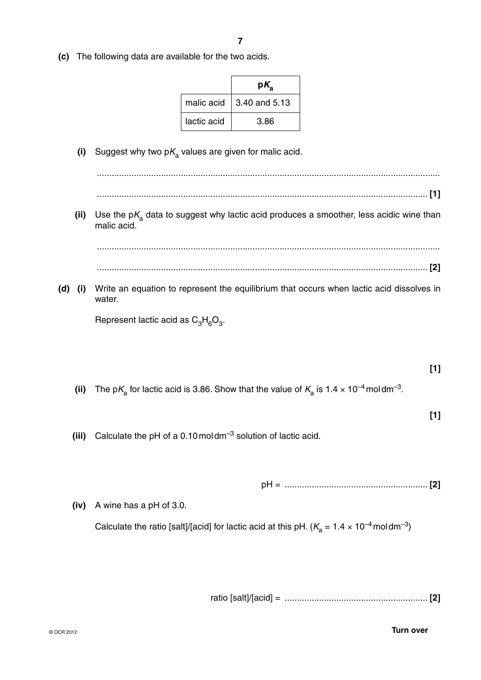**(c)** The following data are available for the two acids.

|             | p۱            |
|-------------|---------------|
| malic acid  | 3.40 and 5.13 |
| lactic acid | 3.86          |

(i) Suggest why two  $pK_a$  values are given for malic acid.

 ........................................................................................................................................... ...................................................................................................................................... **[1]** (ii) Use the p $K_{\rm a}$  data to suggest why lactic acid produces a smoother, less acidic wine than malic acid. ........................................................................................................................................... ...................................................................................................................................... **[2] (d) (i)** Write an equation to represent the equilibrium that occurs when lactic acid dissolves in water. Represent lactic acid as  $C_3H_6O_3$ . **[1]** (ii) The p $K_a$  for lactic acid is 3.86. Show that the value of  $K_a$  is 1.4  $\times$  10<sup>-4</sup> moldm<sup>-3</sup>. **[1] (iii)** Calculate the pH of a 0.10 mol dm–3 solution of lactic acid. pH = .......................................................... **[2] (iv)** A wine has a pH of 3.0.

Calculate the ratio [salt]/[acid] for lactic acid at this pH. ( $K_a = 1.4 \times 10^{-4}$  moldm<sup>-3</sup>)

ratio [salt]/[acid] = .......................................................... **[2]**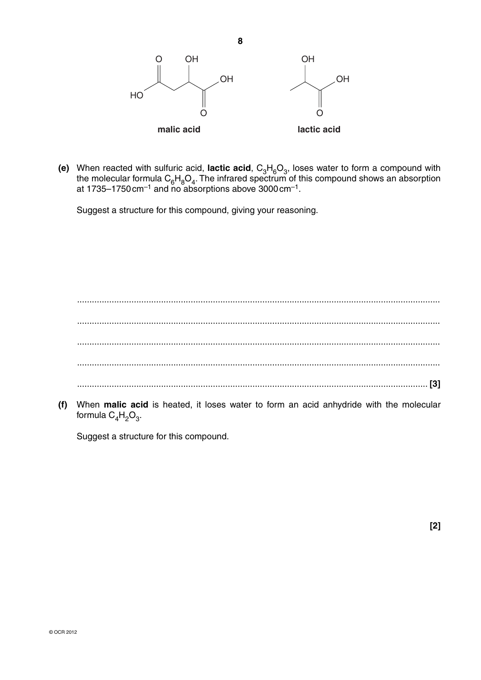

**(e)** When reacted with sulfuric acid, lactic acid,  $C_3H_6O_3$ , loses water to form a compound with the molecular formula  $C_6H_8O_4$ . The infrared spectrum of this compound shows an absorption at 1735–1750 cm $^{-1}$  and no absorptions above 3000 cm $^{-1}$ .

Suggest a structure for this compound, giving your reasoning.

 ................................................................................................................................................... ................................................................................................................................................... ................................................................................................................................................... ................................................................................................................................................... .............................................................................................................................................. **[3]**

 **(f)** When **malic acid** is heated, it loses water to form an acid anhydride with the molecular formula  $C_4H_2O_3$ .

Suggest a structure for this compound.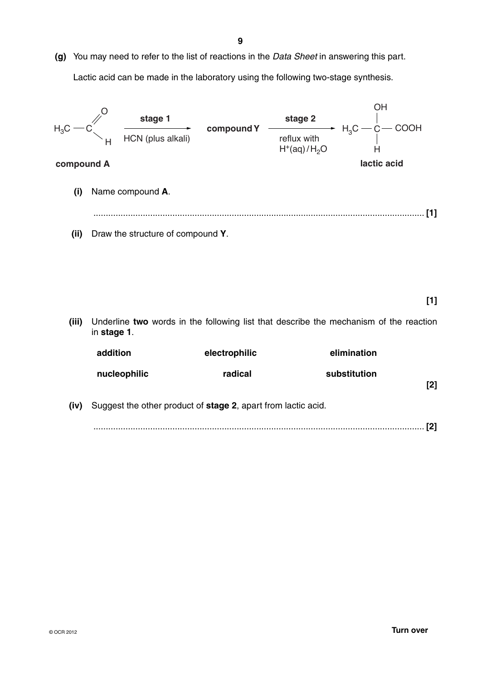**(g)** You may need to refer to the list of reactions in the *Data Sheet* in answering this part. Lactic acid can be made in the laboratory using the following two-stage synthesis.



|     | elimination  | electrophilic | addition                                                      |      |
|-----|--------------|---------------|---------------------------------------------------------------|------|
| [2] | substitution | radical       | nucleophilic                                                  |      |
|     |              |               | Suggest the other product of stage 2, apart from lactic acid. | (iv) |
|     |              |               |                                                               |      |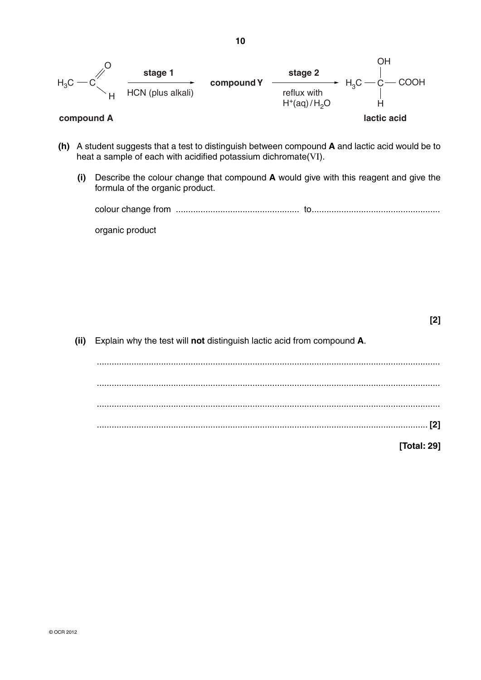$$
H_3C \xrightarrow{\qquad \qquad \text{Stage 1}} \qquad \qquad \text{compound Y} \xrightarrow{\qquad \text{stage 2}} \qquad H_3C \xrightarrow{\qquad \qquad} \text{C}-\text{COOH} \qquad \qquad \text{reflux with} \qquad \qquad \text{H}^+ (\text{aq})/H_2O \qquad \qquad \text{H}^+ (\text{acid})
$$

- **(h)** A student suggests that a test to distinguish between compound **A** and lactic acid would be to heat a sample of each with acidified potassium dichromate(VI).
	- **(i)** Describe the colour change that compound **A** would give with this reagent and give the formula of the organic product.

organic product

 **(ii)** Explain why the test will **not** distinguish lactic acid from compound **A**.

 ........................................................................................................................................... ........................................................................................................................................... ........................................................................................................................................... ...................................................................................................................................... **[2]**

**[Total: 29]**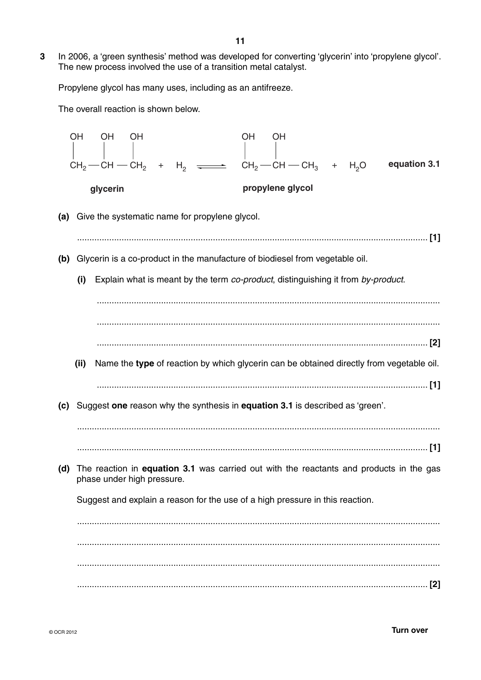**3** In 2006, a 'green synthesis' method was developed for converting 'glycerin' into 'propylene glycol'. The new process involved the use of a transition metal catalyst.

Propylene glycol has many uses, including as an antifreeze.

The overall reaction is shown below.

|     | <b>OH</b> | OH                           | OH |        |                                                                                  | <b>OH</b> | <b>OH</b>        |  |                  |                                                                                          |              |
|-----|-----------|------------------------------|----|--------|----------------------------------------------------------------------------------|-----------|------------------|--|------------------|------------------------------------------------------------------------------------------|--------------|
|     |           | $CH2$ - CH - CH <sub>2</sub> |    | $^{+}$ | $H_2 \longrightarrow CH_2-CH-CH_3 +$                                             |           |                  |  | H <sub>2</sub> O |                                                                                          | equation 3.1 |
|     |           | glycerin                     |    |        |                                                                                  |           | propylene glycol |  |                  |                                                                                          |              |
| (a) |           |                              |    |        | Give the systematic name for propylene glycol.                                   |           |                  |  |                  |                                                                                          |              |
| (b) |           |                              |    |        | Glycerin is a co-product in the manufacture of biodiesel from vegetable oil.     |           |                  |  |                  |                                                                                          |              |
|     | (i)       |                              |    |        | Explain what is meant by the term co-product, distinguishing it from by-product. |           |                  |  |                  |                                                                                          |              |
|     |           |                              |    |        |                                                                                  |           |                  |  |                  |                                                                                          |              |
|     | (ii)      |                              |    |        |                                                                                  |           |                  |  |                  | Name the type of reaction by which glycerin can be obtained directly from vegetable oil. |              |
| (c) |           |                              |    |        | Suggest one reason why the synthesis in equation 3.1 is described as 'green'.    |           |                  |  |                  |                                                                                          |              |
|     |           |                              |    |        |                                                                                  |           |                  |  |                  |                                                                                          |              |
| (d) |           | phase under high pressure.   |    |        |                                                                                  |           |                  |  |                  | The reaction in equation 3.1 was carried out with the reactants and products in the gas  |              |
|     |           |                              |    |        | Suggest and explain a reason for the use of a high pressure in this reaction.    |           |                  |  |                  |                                                                                          |              |
|     |           |                              |    |        |                                                                                  |           |                  |  |                  |                                                                                          |              |
|     |           |                              |    |        |                                                                                  |           |                  |  |                  |                                                                                          |              |
|     |           |                              |    |        |                                                                                  |           |                  |  |                  |                                                                                          |              |
|     |           |                              |    |        |                                                                                  |           |                  |  |                  |                                                                                          | $[2]$        |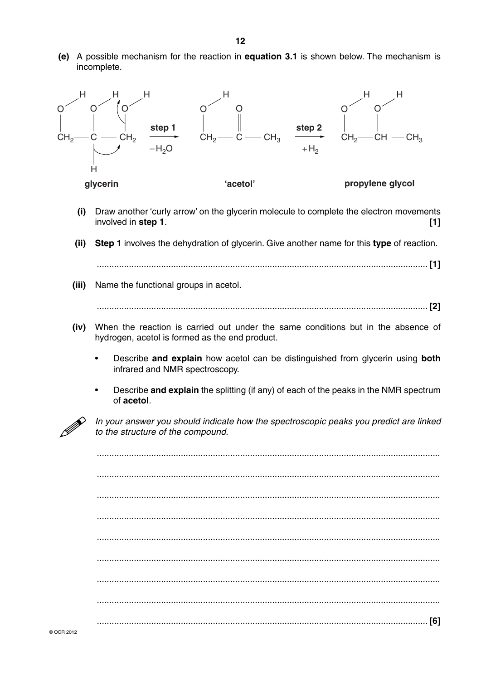**(e)** A possible mechanism for the reaction in **equation 3.1** is shown below. The mechanism is incomplete.



- **(i)** Draw another 'curly arrow' on the glycerin molecule to complete the electron movements involved in **step 1**. **[1]**
- **(ii) Step 1** involves the dehydration of glycerin. Give another name for this **type** of reaction. ...................................................................................................................................... **[1]**
- **(iii)** Name the functional groups in acetol.

...................................................................................................................................... **[2]**

- **(iv)** When the reaction is carried out under the same conditions but in the absence of hydrogen, acetol is formed as the end product.
	- Describe **and explain** how acetol can be distinguished from glycerin using **both** infrared and NMR spectroscopy.
	- Describe **and explain** the splitting (if any) of each of the peaks in the NMR spectrum of **acetol**.



*In your answer you should indicate how the spectroscopic peaks you predict are linked to the structure of the compound. to the structure of the compound.*

|  | [6] |
|--|-----|
|  |     |
|  |     |
|  |     |
|  |     |
|  |     |
|  |     |
|  |     |
|  |     |
|  |     |
|  |     |
|  |     |

© OCR 2012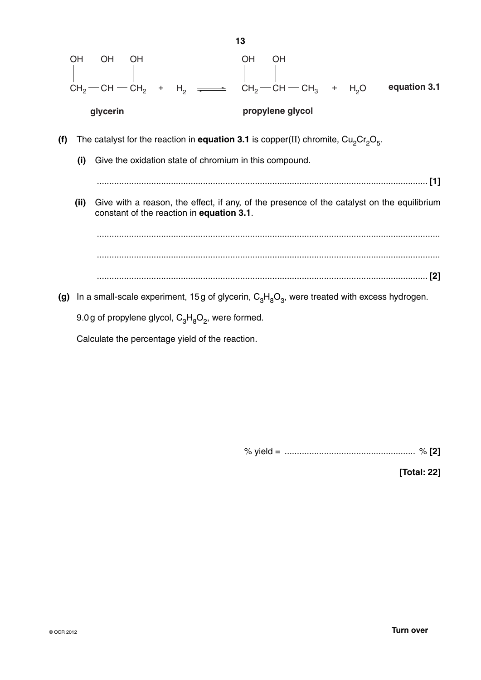

Calculate the percentage yield of the reaction.

% yield = ..................................................... % **[2]**

**[Total: 22]**

**13**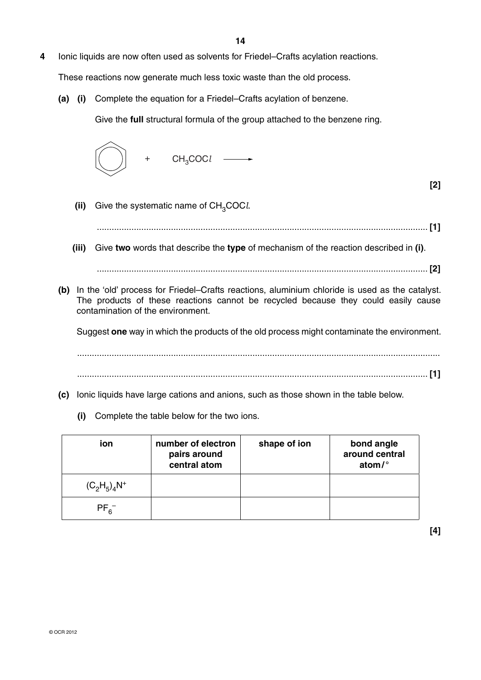**4** Ionic liquids are now often used as solvents for Friedel–Crafts acylation reactions.

These reactions now generate much less toxic waste than the old process.

 **(a) (i)** Complete the equation for a Friedel–Crafts acylation of benzene.

Give the **full** structural formula of the group attached to the benzene ring.



**[2]**

**(ii)** Give the systematic name of CH<sub>3</sub>COC*l*.

...................................................................................................................................... **[1]**

 **(iii)** Give **two** words that describe the **type** of mechanism of the reaction described in **(i)**.

...................................................................................................................................... **[2]**

 **(b)** In the 'old' process for Friedel–Crafts reactions, aluminium chloride is used as the catalyst. The products of these reactions cannot be recycled because they could easily cause contamination of the environment.

Suggest **one** way in which the products of the old process might contaminate the environment.

 ................................................................................................................................................... .............................................................................................................................................. **[1]**

- **(c)** Ionic liquids have large cations and anions, such as those shown in the table below.
	- **(i)** Complete the table below for the two ions.

| ion             | number of electron<br>pairs around<br>central atom | shape of ion | bond angle<br>around central<br>atom/ $\degree$ |
|-----------------|----------------------------------------------------|--------------|-------------------------------------------------|
| $(C_2H_5)_4N^+$ |                                                    |              |                                                 |
| $PF_{6}^{-}$    |                                                    |              |                                                 |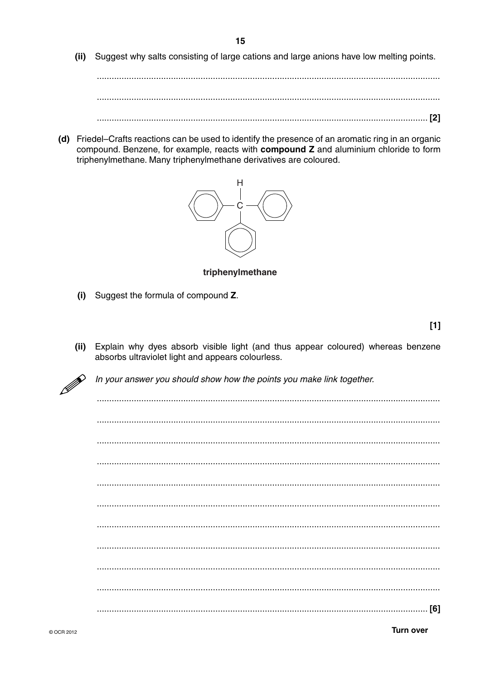(ii) Suggest why salts consisting of large cations and large anions have low melting points.

(d) Friedel–Crafts reactions can be used to identify the presence of an aromatic ring in an organic compound. Benzene, for example, reacts with compound Z and aluminium chloride to form triphenylmethane. Many triphenylmethane derivatives are coloured.



triphenvlmethane

(i) Suggest the formula of compound Z.

 $[1]$ 

Explain why dyes absorb visible light (and thus appear coloured) whereas benzene  $(ii)$ absorbs ultraviolet light and appears colourless.



In your answer you should show how the points you make link together.

| [6] |
|-----|

**Turn over**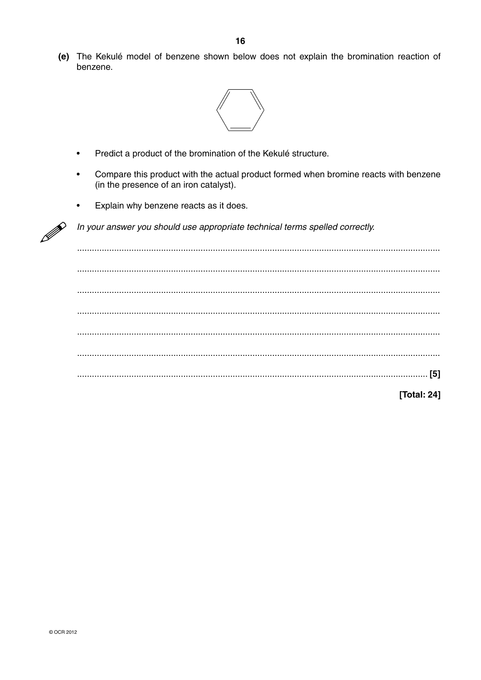(e) The Kekulé model of benzene shown below does not explain the bromination reaction of benzene.



- Predict a product of the bromination of the Kekulé structure.  $\ddot{\phantom{a}}$
- Compare this product with the actual product formed when bromine reacts with benzene (in the presence of an iron catalyst).
- Explain why benzene reacts as it does.  $\bullet$



In your answer you should use appropriate technical terms spelled correctly.

 $1.1.1.1.$ [Total: 24]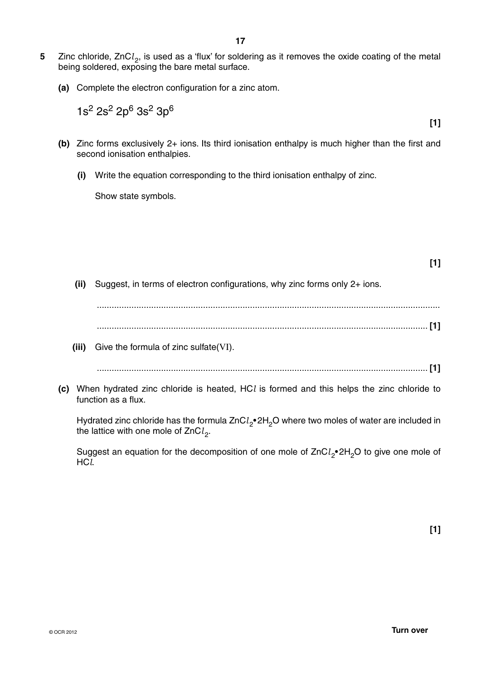- **5** Zinc chloride, ZnCl<sub>2</sub>, is used as a 'flux' for soldering as it removes the oxide coating of the metal being soldered, exposing the bare metal surface.
	- **(a)** Complete the electron configuration for a zinc atom.

 $1s^2$  2s<sup>2</sup> 2p<sup>6</sup> 3s<sup>2</sup> 3p<sup>6</sup>

**[1]**

- **(b)** Zinc forms exclusively 2+ ions. Its third ionisation enthalpy is much higher than the first and second ionisation enthalpies.
	- **(i)** Write the equation corresponding to the third ionisation enthalpy of zinc.

Show state symbols.

**[1]**

 **(ii)** Suggest, in terms of electron configurations, why zinc forms only 2+ ions.

 ........................................................................................................................................... ...................................................................................................................................... **[1]**

 **(iii)** Give the formula of zinc sulfate(VI).

...................................................................................................................................... **[1]**

 **(c)** When hydrated zinc chloride is heated, HC*l* is formed and this helps the zinc chloride to function as a flux.

Hydrated zinc chloride has the formula ZnCl<sub>2</sub>•2H<sub>2</sub>O where two moles of water are included in the lattice with one mole of ZnCl<sub>2</sub>.

Suggest an equation for the decomposition of one mole of ZnCl<sub>2</sub>• 2H<sub>2</sub>O to give one mole of HC*l*.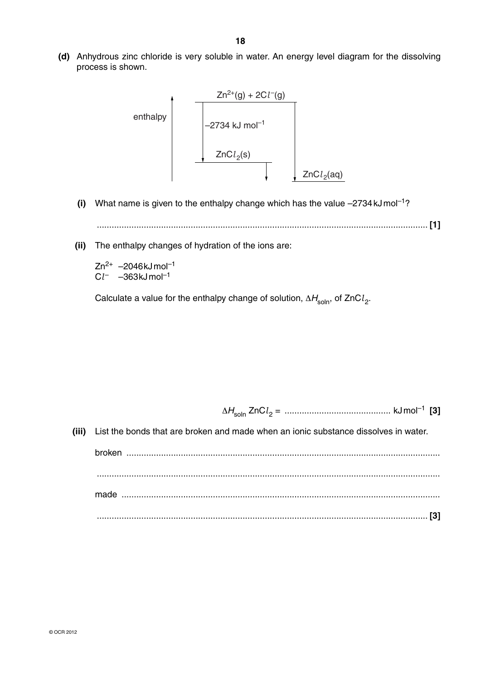**(d)** Anhydrous zinc chloride is very soluble in water. An energy level diagram for the dissolving process is shown.



**(i)** What name is given to the enthalpy change which has the value  $-2734 \text{ kJ}$  mol<sup>-1</sup>?

...................................................................................................................................... **[1]**

 **(ii)** The enthalpy changes of hydration of the ions are:

 $Zn^{2+}$  –2046kJ mol<sup>-1</sup> C*l* – –363kJ mol–1

Calculate a value for the enthalpy change of solution,  $\Delta H_{\text{soln}}$ , of ZnCl<sub>2</sub>.

<sup>Δ</sup>*H*soln ZnC*l* 2 = ........................................... kJ mol–1 **[3]**

 **(iii)** List the bonds that are broken and made when an ionic substance dissolves in water.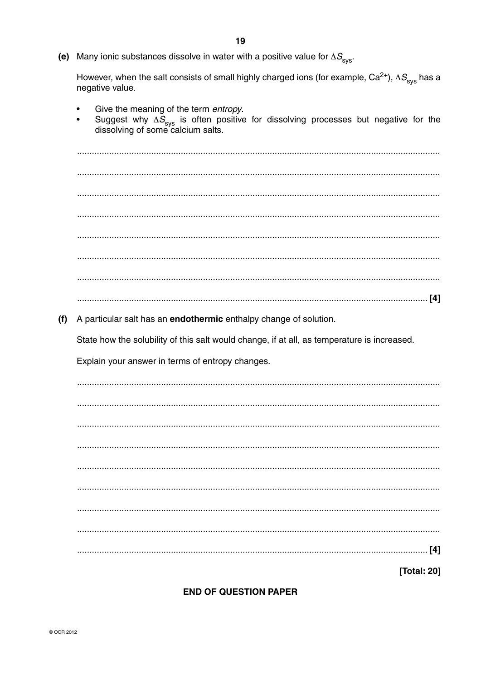(e) Many ionic substances dissolve in water with a positive value for  $\Delta S_{\rm svs}$ .

However, when the salt consists of small highly charged ions (for example,  $Ca^{2+}$ ),  $\Delta S_{\rm sys}$  has a negative value.

- Give the meaning of the term entropy.
- Suggest why  $\Delta S_{\rm sys}$  is often positive for dissolving processes but negative for the dissolving of some calcium salts.

(f) A particular salt has an **endothermic** enthalpy change of solution.

State how the solubility of this salt would change, if at all, as temperature is increased.

Explain your answer in terms of entropy changes.

**Total: 201** 

## **END OF QUESTION PAPER**